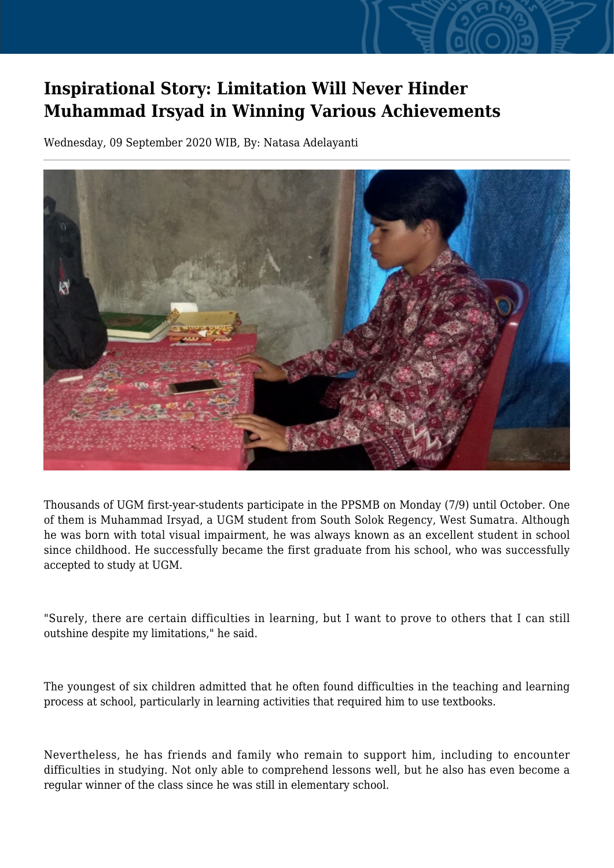## **Inspirational Story: Limitation Will Never Hinder Muhammad Irsyad in Winning Various Achievements**

Wednesday, 09 September 2020 WIB, By: Natasa Adelayanti



Thousands of UGM first-year-students participate in the PPSMB on Monday (7/9) until October. One of them is Muhammad Irsyad, a UGM student from South Solok Regency, West Sumatra. Although he was born with total visual impairment, he was always known as an excellent student in school since childhood. He successfully became the first graduate from his school, who was successfully accepted to study at UGM.

"Surely, there are certain difficulties in learning, but I want to prove to others that I can still outshine despite my limitations," he said.

The youngest of six children admitted that he often found difficulties in the teaching and learning process at school, particularly in learning activities that required him to use textbooks.

Nevertheless, he has friends and family who remain to support him, including to encounter difficulties in studying. Not only able to comprehend lessons well, but he also has even become a regular winner of the class since he was still in elementary school.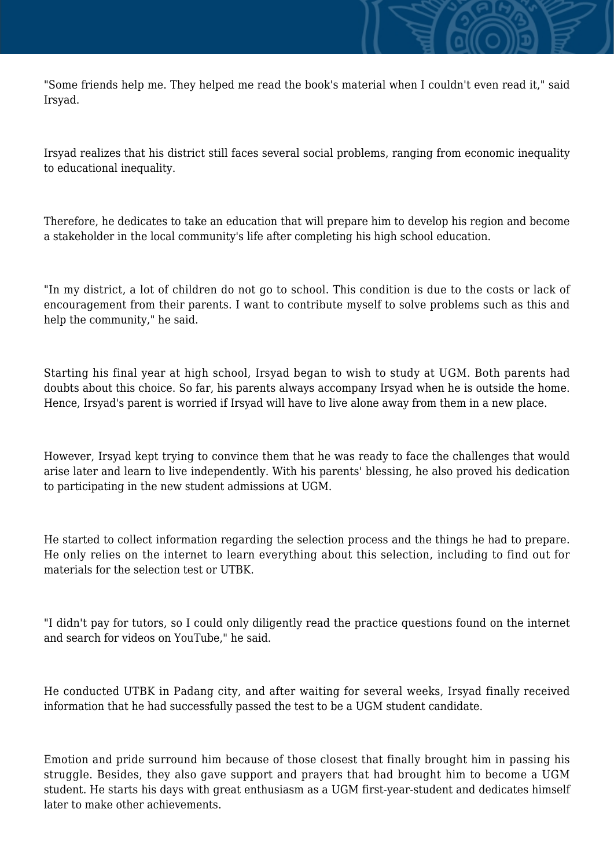"Some friends help me. They helped me read the book's material when I couldn't even read it," said Irsyad.

Irsyad realizes that his district still faces several social problems, ranging from economic inequality to educational inequality.

Therefore, he dedicates to take an education that will prepare him to develop his region and become a stakeholder in the local community's life after completing his high school education.

"In my district, a lot of children do not go to school. This condition is due to the costs or lack of encouragement from their parents. I want to contribute myself to solve problems such as this and help the community," he said.

Starting his final year at high school, Irsyad began to wish to study at UGM. Both parents had doubts about this choice. So far, his parents always accompany Irsyad when he is outside the home. Hence, Irsyad's parent is worried if Irsyad will have to live alone away from them in a new place.

However, Irsyad kept trying to convince them that he was ready to face the challenges that would arise later and learn to live independently. With his parents' blessing, he also proved his dedication to participating in the new student admissions at UGM.

He started to collect information regarding the selection process and the things he had to prepare. He only relies on the internet to learn everything about this selection, including to find out for materials for the selection test or UTBK.

"I didn't pay for tutors, so I could only diligently read the practice questions found on the internet and search for videos on YouTube," he said.

He conducted UTBK in Padang city, and after waiting for several weeks, Irsyad finally received information that he had successfully passed the test to be a UGM student candidate.

Emotion and pride surround him because of those closest that finally brought him in passing his struggle. Besides, they also gave support and prayers that had brought him to become a UGM student. He starts his days with great enthusiasm as a UGM first-year-student and dedicates himself later to make other achievements.